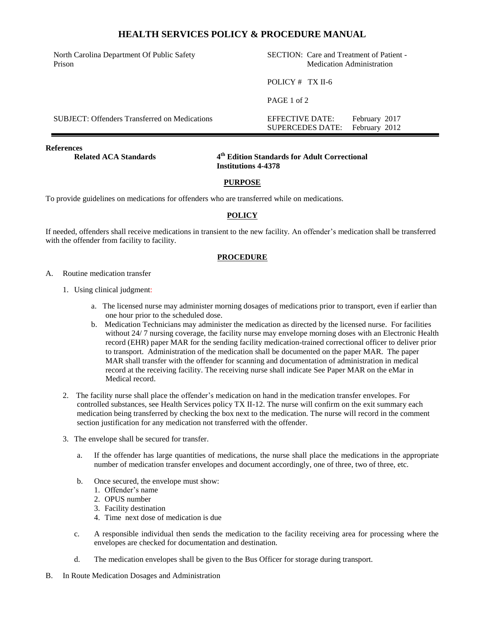# **HEALTH SERVICES POLICY & PROCEDURE MANUAL**

North Carolina Department Of Public Safety Prison

SECTION: Care and Treatment of Patient - Medication Administration

SUPERCEDES DATE: February 2012

POLICY # TX II-6

PAGE 1 of 2

SUBJECT: Offenders Transferred on Medications EFFECTIVE DATE: February 2017

**References** 

**Related ACA Standards** 

**th Edition Standards for Adult Correctional Institutions 4-4378**

### **PURPOSE**

To provide guidelines on medications for offenders who are transferred while on medications.

### **POLICY**

If needed, offenders shall receive medications in transient to the new facility. An offender's medication shall be transferred with the offender from facility to facility.

#### **PROCEDURE**

- A. Routine medication transfer
	- 1. Using clinical judgment:
		- a. The licensed nurse may administer morning dosages of medications prior to transport, even if earlier than one hour prior to the scheduled dose.
		- b. Medication Technicians may administer the medication as directed by the licensed nurse. For facilities without 24/ 7 nursing coverage, the facility nurse may envelope morning doses with an Electronic Health record (EHR) paper MAR for the sending facility medication-trained correctional officer to deliver prior to transport. Administration of the medication shall be documented on the paper MAR. The paper MAR shall transfer with the offender for scanning and documentation of administration in medical record at the receiving facility. The receiving nurse shall indicate See Paper MAR on the eMar in Medical record.
	- 2. The facility nurse shall place the offender's medication on hand in the medication transfer envelopes. For controlled substances, see Health Services policy TX II-12. The nurse will confirm on the exit summary each medication being transferred by checking the box next to the medication. The nurse will record in the comment section justification for any medication not transferred with the offender.
	- 3. The envelope shall be secured for transfer.
		- a. If the offender has large quantities of medications, the nurse shall place the medications in the appropriate number of medication transfer envelopes and document accordingly, one of three, two of three, etc.
		- b. Once secured, the envelope must show:
			- 1. Offender's name
			- 2. OPUS number
			- 3. Facility destination
			- 4. Time next dose of medication is due
		- c. A responsible individual then sends the medication to the facility receiving area for processing where the envelopes are checked for documentation and destination.
		- d. The medication envelopes shall be given to the Bus Officer for storage during transport.
- B. In Route Medication Dosages and Administration